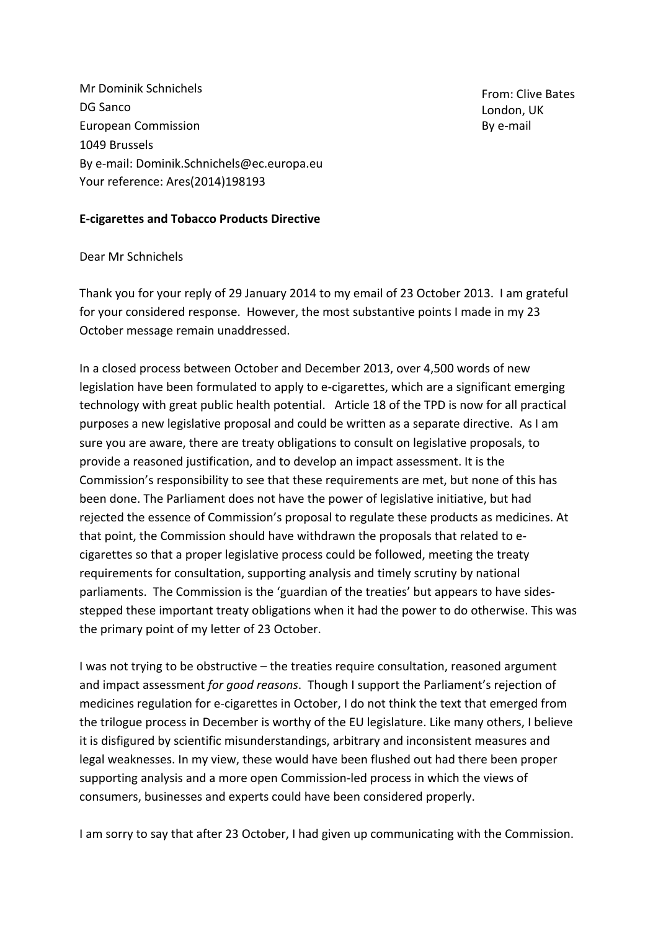Mr Dominik Schnichels DG Sanco European Commission 1049 Brussels By e-mail: Dominik.Schnichels@ec.europa.eu Your reference: Ares(2014)198193

From: Clive Bates London, UK By e-mail

### **E-cigarettes and Tobacco Products Directive**

#### Dear Mr Schnichels

Thank you for your reply of 29 January 2014 to my email of 23 October 2013. I am grateful for your considered response. However, the most substantive points I made in my 23 October message remain unaddressed.

In a closed process between October and December 2013, over 4,500 words of new legislation have been formulated to apply to e-cigarettes, which are a significant emerging technology with great public health potential. Article 18 of the TPD is now for all practical purposes a new legislative proposal and could be written as a separate directive. As I am sure you are aware, there are treaty obligations to consult on legislative proposals, to provide a reasoned justification, and to develop an impact assessment. It is the Commission's responsibility to see that these requirements are met, but none of this has been done. The Parliament does not have the power of legislative initiative, but had rejected the essence of Commission's proposal to regulate these products as medicines. At that point, the Commission should have withdrawn the proposals that related to ecigarettes so that a proper legislative process could be followed, meeting the treaty requirements for consultation, supporting analysis and timely scrutiny by national parliaments. The Commission is the 'guardian of the treaties' but appears to have sidesstepped these important treaty obligations when it had the power to do otherwise. This was the primary point of my letter of 23 October.

I was not trying to be obstructive – the treaties require consultation, reasoned argument and impact assessment *for good reasons*. Though I support the Parliament's rejection of medicines regulation for e-cigarettes in October, I do not think the text that emerged from the trilogue process in December is worthy of the EU legislature. Like many others, I believe it is disfigured by scientific misunderstandings, arbitrary and inconsistent measures and legal weaknesses. In my view, these would have been flushed out had there been proper supporting analysis and a more open Commission-led process in which the views of consumers, businesses and experts could have been considered properly.

I am sorry to say that after 23 October, I had given up communicating with the Commission.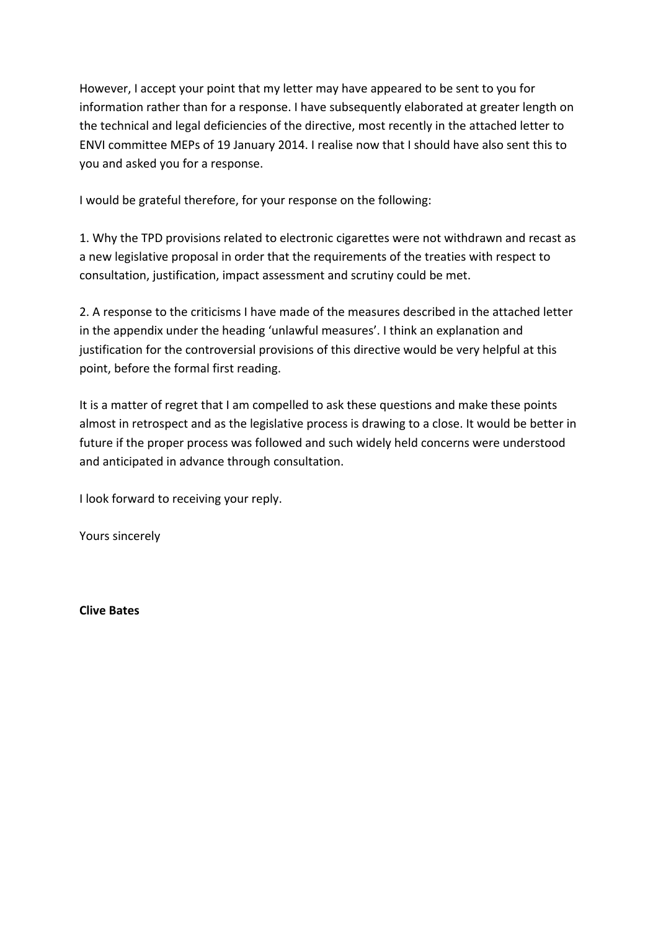However, I accept your point that my letter may have appeared to be sent to you for information rather than for a response. I have subsequently elaborated at greater length on the technical and legal deficiencies of the directive, most recently in the attached letter to ENVI committee MEPs of 19 January 2014. I realise now that I should have also sent this to you and asked you for a response.

I would be grateful therefore, for your response on the following:

1. Why the TPD provisions related to electronic cigarettes were not withdrawn and recast as a new legislative proposal in order that the requirements of the treaties with respect to consultation, justification, impact assessment and scrutiny could be met.

2. A response to the criticisms I have made of the measures described in the attached letter in the appendix under the heading 'unlawful measures'. I think an explanation and justification for the controversial provisions of this directive would be very helpful at this point, before the formal first reading.

It is a matter of regret that I am compelled to ask these questions and make these points almost in retrospect and as the legislative process is drawing to a close. It would be better in future if the proper process was followed and such widely held concerns were understood and anticipated in advance through consultation.

I look forward to receiving your reply.

Yours sincerely

**Clive Bates**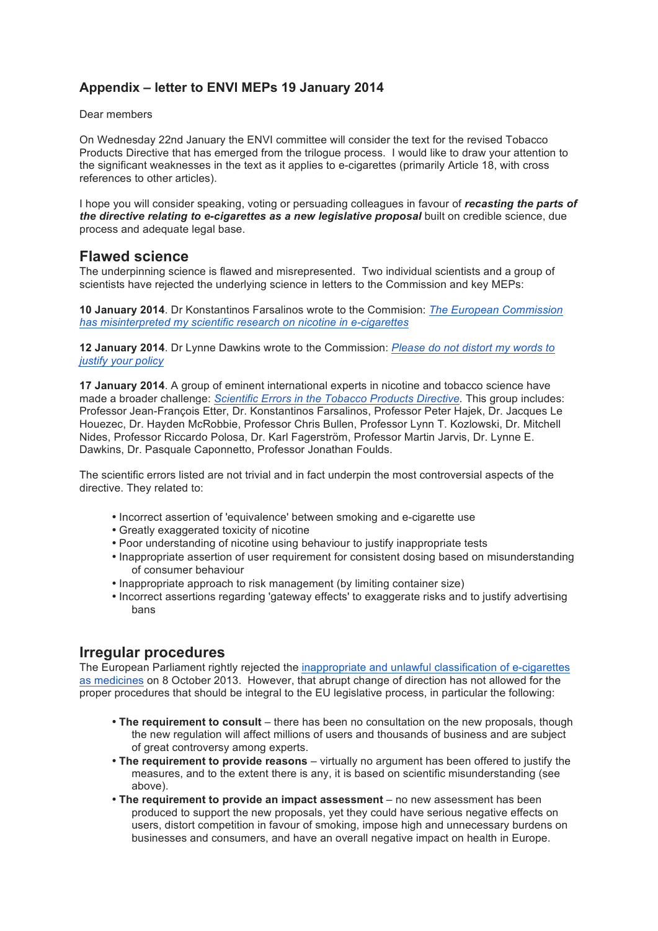# **Appendix – letter to ENVI MEPs 19 January 2014**

#### Dear members

On Wednesday 22nd January the ENVI committee will consider the text for the revised Tobacco Products Directive that has emerged from the trilogue process. I would like to draw your attention to the significant weaknesses in the text as it applies to e-cigarettes (primarily Article 18, with cross references to other articles).

I hope you will consider speaking, voting or persuading colleagues in favour of *recasting the parts of the directive relating to e-cigarettes as a new legislative proposal* built on credible science, due process and adequate legal base.

### **Flawed science**

The underpinning science is flawed and misrepresented. Two individual scientists and a group of scientists have rejected the underlying science in letters to the Commission and key MEPs:

**10 January 2014**. Dr Konstantinos Farsalinos wrote to the Commision: *The European Commission has misinterpreted my scientific research on nicotine in e-cigarettes*

**12 January 2014**. Dr Lynne Dawkins wrote to the Commission: *Please do not distort my words to justify your policy*

**17 January 2014**. A group of eminent international experts in nicotine and tobacco science have made a broader challenge: *Scientific Errors in the Tobacco Products Directive.* This group includes: Professor Jean-François Etter, Dr. Konstantinos Farsalinos, Professor Peter Hajek, Dr. Jacques Le Houezec, Dr. Hayden McRobbie, Professor Chris Bullen, Professor Lynn T. Kozlowski, Dr. Mitchell Nides, Professor Riccardo Polosa, Dr. Karl Fagerström, Professor Martin Jarvis, Dr. Lynne E. Dawkins, Dr. Pasquale Caponnetto, Professor Jonathan Foulds.

The scientific errors listed are not trivial and in fact underpin the most controversial aspects of the directive. They related to:

- Incorrect assertion of 'equivalence' between smoking and e-cigarette use
- Greatly exaggerated toxicity of nicotine
- Poor understanding of nicotine using behaviour to justify inappropriate tests
- Inappropriate assertion of user requirement for consistent dosing based on misunderstanding of consumer behaviour
- Inappropriate approach to risk management (by limiting container size)
- Incorrect assertions regarding 'gateway effects' to exaggerate risks and to justify advertising bans

### **Irregular procedures**

The European Parliament rightly rejected the inappropriate and unlawful classification of e-cigarettes as medicines on 8 October 2013. However, that abrupt change of direction has not allowed for the proper procedures that should be integral to the EU legislative process, in particular the following:

- **The requirement to consult** there has been no consultation on the new proposals, though the new regulation will affect millions of users and thousands of business and are subject of great controversy among experts.
- **The requirement to provide reasons** virtually no argument has been offered to justify the measures, and to the extent there is any, it is based on scientific misunderstanding (see above).
- **The requirement to provide an impact assessment** no new assessment has been produced to support the new proposals, yet they could have serious negative effects on users, distort competition in favour of smoking, impose high and unnecessary burdens on businesses and consumers, and have an overall negative impact on health in Europe.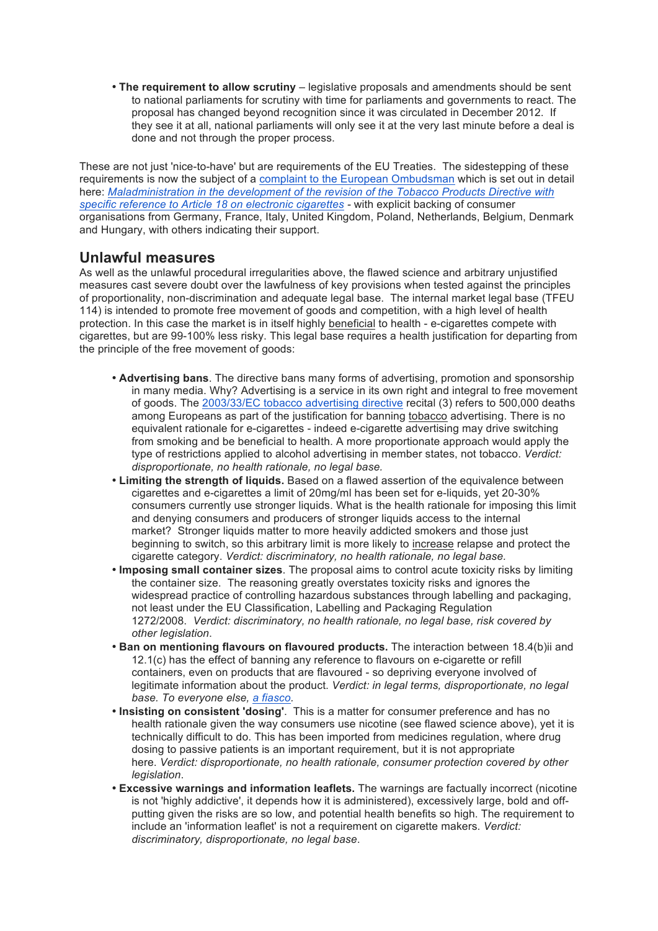• **The requirement to allow scrutiny** – legislative proposals and amendments should be sent to national parliaments for scrutiny with time for parliaments and governments to react. The proposal has changed beyond recognition since it was circulated in December 2012. If they see it at all, national parliaments will only see it at the very last minute before a deal is done and not through the proper process.

These are not just 'nice-to-have' but are requirements of the EU Treaties. The sidestepping of these requirements is now the subject of a complaint to the European Ombudsman which is set out in detail here: *Maladministration in the development of the revision of the Tobacco Products Directive with specific reference to Article 18 on electronic cigarettes -* with explicit backing of consumer organisations from Germany, France, Italy, United Kingdom, Poland, Netherlands, Belgium, Denmark and Hungary, with others indicating their support.

## **Unlawful measures**

As well as the unlawful procedural irregularities above, the flawed science and arbitrary unjustified measures cast severe doubt over the lawfulness of key provisions when tested against the principles of proportionality, non-discrimination and adequate legal base. The internal market legal base (TFEU 114) is intended to promote free movement of goods and competition, with a high level of health protection. In this case the market is in itself highly beneficial to health - e-cigarettes compete with cigarettes, but are 99-100% less risky. This legal base requires a health justification for departing from the principle of the free movement of goods:

- **Advertising bans**. The directive bans many forms of advertising, promotion and sponsorship in many media. Why? Advertising is a service in its own right and integral to free movement of goods. The 2003/33/EC tobacco advertising directive recital (3) refers to 500,000 deaths among Europeans as part of the justification for banning tobacco advertising. There is no equivalent rationale for e-cigarettes - indeed e-cigarette advertising may drive switching from smoking and be beneficial to health. A more proportionate approach would apply the type of restrictions applied to alcohol advertising in member states, not tobacco. *Verdict: disproportionate, no health rationale, no legal base.*
- **Limiting the strength of liquids.** Based on a flawed assertion of the equivalence between cigarettes and e-cigarettes a limit of 20mg/ml has been set for e-liquids, yet 20-30% consumers currently use stronger liquids. What is the health rationale for imposing this limit and denying consumers and producers of stronger liquids access to the internal market? Stronger liquids matter to more heavily addicted smokers and those just beginning to switch, so this arbitrary limit is more likely to increase relapse and protect the cigarette category. *Verdict: discriminatory, no health rationale, no legal base.*
- **Imposing small container sizes**. The proposal aims to control acute toxicity risks by limiting the container size. The reasoning greatly overstates toxicity risks and ignores the widespread practice of controlling hazardous substances through labelling and packaging, not least under the EU Classification, Labelling and Packaging Regulation 1272/2008. *Verdict: discriminatory, no health rationale, no legal base, risk covered by other legislation*.
- **Ban on mentioning flavours on flavoured products.** The interaction between 18.4(b)ii and 12.1(c) has the effect of banning any reference to flavours on e-cigarette or refill containers, even on products that are flavoured - so depriving everyone involved of legitimate information about the product. *Verdict: in legal terms, disproportionate, no legal base. To everyone else, a fiasco.*
- **Insisting on consistent 'dosing'**. This is a matter for consumer preference and has no health rationale given the way consumers use nicotine (see flawed science above), yet it is technically difficult to do. This has been imported from medicines regulation, where drug dosing to passive patients is an important requirement, but it is not appropriate here. *Verdict: disproportionate, no health rationale, consumer protection covered by other legislation*.
- **Excessive warnings and information leaflets.** The warnings are factually incorrect (nicotine is not 'highly addictive', it depends how it is administered), excessively large, bold and offputting given the risks are so low, and potential health benefits so high. The requirement to include an 'information leaflet' is not a requirement on cigarette makers. *Verdict: discriminatory, disproportionate, no legal base*.